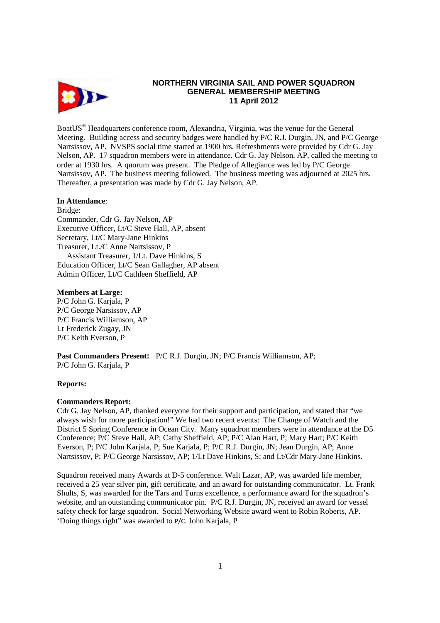

# **NORTHERN VIRGINIA SAIL AND POWER SQUADRON GENERAL MEMBERSHIP MEETING 11 April 2012**

BoatUS<sup>®</sup> Headquarters conference room, Alexandria, Virginia, was the venue for the General Meeting. Building access and security badges were handled by P/C R.J. Durgin, JN, and P/C George Nartsissov, AP. NVSPS social time started at 1900 hrs. Refreshments were provided by Cdr G. Jay Nelson, AP. 17 squadron members were in attendance. Cdr G. Jay Nelson, AP, called the meeting to order at 1930 hrs. A quorum was present. The Pledge of Allegiance was led by P/C George Nartsissov, AP. The business meeting followed. The business meeting was adjourned at 2025 hrs. Thereafter, a presentation was made by Cdr G. Jay Nelson, AP.

## **In Attendance**:

Bridge: Commander, Cdr G. Jay Nelson, AP Executive Officer, Lt/C Steve Hall, AP, absent Secretary, Lt/C Mary-Jane Hinkins Treasurer, Lt./C Anne Nartsissov, P Assistant Treasurer, 1/Lt. Dave Hinkins, S Education Officer, Lt/C Sean Gallagher, AP absent Admin Officer, Lt/C Cathleen Sheffield, AP

### **Members at Large:**

P/C John G. Karjala, P P/C George Narsissov, AP P/C Francis Williamson, AP Lt Frederick Zugay, JN P/C Keith Everson, P

**Past Commanders Present:** P/C R.J. Durgin, JN; P/C Francis Williamson, AP; P/C John G. Karjala, P

### **Reports:**

### **Commanders Report:**

Cdr G. Jay Nelson, AP, thanked everyone for their support and participation, and stated that "we always wish for more participation!" We had two recent events: The Change of Watch and the District 5 Spring Conference in Ocean City. Many squadron members were in attendance at the D5 Conference; P/C Steve Hall, AP; Cathy Sheffield, AP; P/C Alan Hart, P; Mary Hart; P/C Keith Everson, P; P/C John Karjala, P; Sue Karjala, P; P/C R.J. Durgin, JN; Jean Durgin, AP; Anne Nartsissov, P; P/C George Narsissov, AP; 1/Lt Dave Hinkins, S; and Lt/Cdr Mary-Jane Hinkins.

Squadron received many Awards at D-5 conference. Walt Lazar, AP, was awarded life member, received a 25 year silver pin, gift certificate, and an award for outstanding communicator. Lt. Frank Shults, S, was awarded for the Tars and Turns excellence, a performance award for the squadron's website, and an outstanding communicator pin. P/C R.J. Durgin, JN, received an award for vessel safety check for large squadron. Social Networking Website award went to Robin Roberts, AP. 'Doing things right" was awarded to P/C. John Karjala, P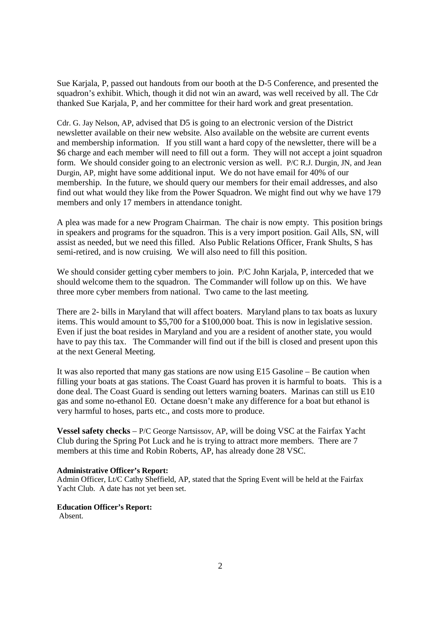Sue Karjala, P, passed out handouts from our booth at the D-5 Conference, and presented the squadron's exhibit. Which, though it did not win an award, was well received by all. The Cdr thanked Sue Karjala, P, and her committee for their hard work and great presentation.

Cdr. G. Jay Nelson, AP, advised that D5 is going to an electronic version of the District newsletter available on their new website. Also available on the website are current events and membership information. If you still want a hard copy of the newsletter, there will be a \$6 charge and each member will need to fill out a form. They will not accept a joint squadron form. We should consider going to an electronic version as well. P/C R.J. Durgin, JN, and Jean Durgin, AP, might have some additional input. We do not have email for 40% of our membership. In the future, we should query our members for their email addresses, and also find out what would they like from the Power Squadron. We might find out why we have 179 members and only 17 members in attendance tonight.

A plea was made for a new Program Chairman. The chair is now empty. This position brings in speakers and programs for the squadron. This is a very import position. Gail Alls, SN, will assist as needed, but we need this filled. Also Public Relations Officer, Frank Shults, S has semi-retired, and is now cruising. We will also need to fill this position.

We should consider getting cyber members to join. P/C John Karjala, P, interceded that we should welcome them to the squadron. The Commander will follow up on this. We have three more cyber members from national. Two came to the last meeting.

There are 2- bills in Maryland that will affect boaters. Maryland plans to tax boats as luxury items. This would amount to \$5,700 for a \$100,000 boat. This is now in legislative session. Even if just the boat resides in Maryland and you are a resident of another state, you would have to pay this tax. The Commander will find out if the bill is closed and present upon this at the next General Meeting.

It was also reported that many gas stations are now using E15 Gasoline – Be caution when filling your boats at gas stations. The Coast Guard has proven it is harmful to boats. This is a done deal. The Coast Guard is sending out letters warning boaters. Marinas can still us E10 gas and some no-ethanol E0. Octane doesn't make any difference for a boat but ethanol is very harmful to hoses, parts etc., and costs more to produce.

**Vessel safety checks** – P/C George Nartsissov, AP, will be doing VSC at the Fairfax Yacht Club during the Spring Pot Luck and he is trying to attract more members. There are 7 members at this time and Robin Roberts, AP, has already done 28 VSC.

#### **Administrative Officer's Report:**

Admin Officer, Lt/C Cathy Sheffield, AP, stated that the Spring Event will be held at the Fairfax Yacht Club. A date has not yet been set.

**Education Officer's Report:**  Absent.